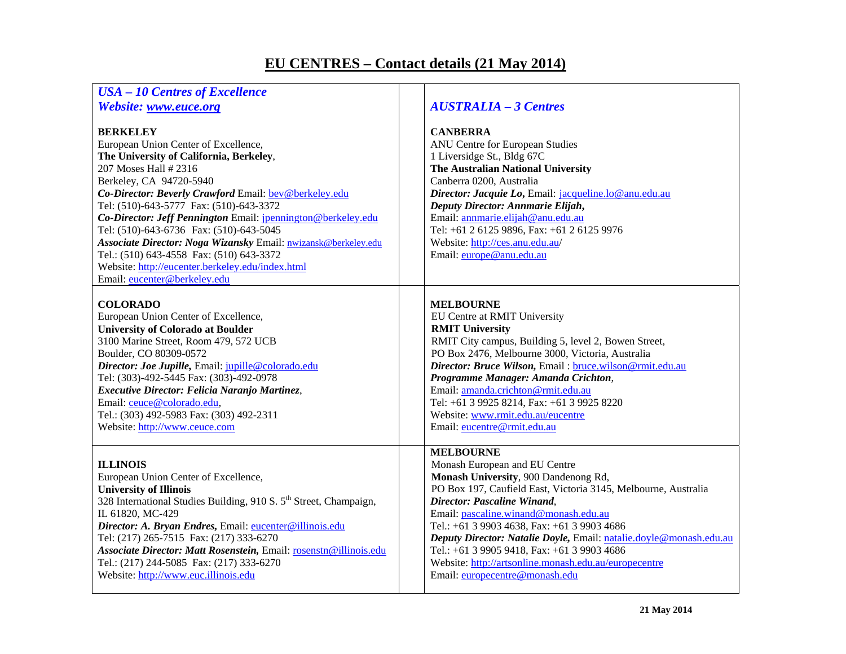## **EU CENTRES – Contact details (21 May 2014)**

| <b>USA - 10 Centres of Excellence</b><br>Website: www.euce.org                                                                                                                                                                                                                                                                                                                                                                                                                                                                                                          | <b>AUSTRALIA - 3 Centres</b>                                                                                                                                                                                                                                                                                                                                                                                                                                                                       |
|-------------------------------------------------------------------------------------------------------------------------------------------------------------------------------------------------------------------------------------------------------------------------------------------------------------------------------------------------------------------------------------------------------------------------------------------------------------------------------------------------------------------------------------------------------------------------|----------------------------------------------------------------------------------------------------------------------------------------------------------------------------------------------------------------------------------------------------------------------------------------------------------------------------------------------------------------------------------------------------------------------------------------------------------------------------------------------------|
| <b>BERKELEY</b><br>European Union Center of Excellence,<br>The University of California, Berkeley,<br>207 Moses Hall # 2316<br>Berkeley, CA 94720-5940<br>Co-Director: Beverly Crawford Email: bev@berkeley.edu<br>Tel: (510)-643-5777 Fax: (510)-643-3372<br>Co-Director: Jeff Pennington Email: jpennington@berkeley.edu<br>Tel: (510)-643-6736 Fax: (510)-643-5045<br>Associate Director: Noga Wizansky Email: nwizansk@berkeley.edu<br>Tel.: (510) 643-4558 Fax: (510) 643-3372<br>Website: http://eucenter.berkeley.edu/index.html<br>Email: eucenter@berkeley.edu | <b>CANBERRA</b><br>ANU Centre for European Studies<br>1 Liversidge St., Bldg 67C<br>The Australian National University<br>Canberra 0200, Australia<br>Director: Jacquie Lo, Email: jacqueline.lo@anu.edu.au<br>Deputy Director: Annmarie Elijah,<br>Email: annmarie.elijah@anu.edu.au<br>Tel: +61 2 6125 9896, Fax: +61 2 6125 9976<br>Website: http://ces.anu.edu.au/<br>Email: europe@anu.edu.au                                                                                                 |
| <b>COLORADO</b><br>European Union Center of Excellence,<br><b>University of Colorado at Boulder</b><br>3100 Marine Street, Room 479, 572 UCB<br>Boulder, CO 80309-0572<br>Director: Joe Jupille, Email: jupille@colorado.edu<br>Tel: (303)-492-5445 Fax: (303)-492-0978<br>Executive Director: Felicia Naranjo Martinez,<br>Email: ceuce@colorado.edu,<br>Tel.: (303) 492-5983 Fax: (303) 492-2311<br>Website: http://www.ceuce.com                                                                                                                                     | <b>MELBOURNE</b><br>EU Centre at RMIT University<br><b>RMIT University</b><br>RMIT City campus, Building 5, level 2, Bowen Street,<br>PO Box 2476, Melbourne 3000, Victoria, Australia<br>Director: Bruce Wilson, Email: bruce.wilson@rmit.edu.au<br>Programme Manager: Amanda Crichton,<br>Email: amanda.crichton@rmit.edu.au<br>Tel: +61 3 9925 8214, Fax: +61 3 9925 8220<br>Website: www.rmit.edu.au/eucentre<br>Email: eucentre@rmit.edu.au                                                   |
| <b>ILLINOIS</b><br>European Union Center of Excellence,<br><b>University of Illinois</b><br>328 International Studies Building, 910 S. 5 <sup>th</sup> Street, Champaign,<br>IL 61820, MC-429<br>Director: A. Bryan Endres, Email: eucenter@illinois.edu<br>Tel: (217) 265-7515 Fax: (217) 333-6270<br>Associate Director: Matt Rosenstein, Email: rosenstn@illinois.edu<br>Tel.: (217) 244-5085 Fax: (217) 333-6270<br>Website: http://www.euc.illinois.edu                                                                                                            | <b>MELBOURNE</b><br>Monash European and EU Centre<br>Monash University, 900 Dandenong Rd,<br>PO Box 197, Caufield East, Victoria 3145, Melbourne, Australia<br>Director: Pascaline Winand,<br>Email: pascaline.winand@monash.edu.au<br>Tel.: +61 3 9903 4638, Fax: +61 3 9903 4686<br>Deputy Director: Natalie Doyle, Email: natalie.doyle@monash.edu.au<br>Tel.: +61 3 9905 9418, Fax: +61 3 9903 4686<br>Website: http://artsonline.monash.edu.au/europecentre<br>Email: europecentre@monash.edu |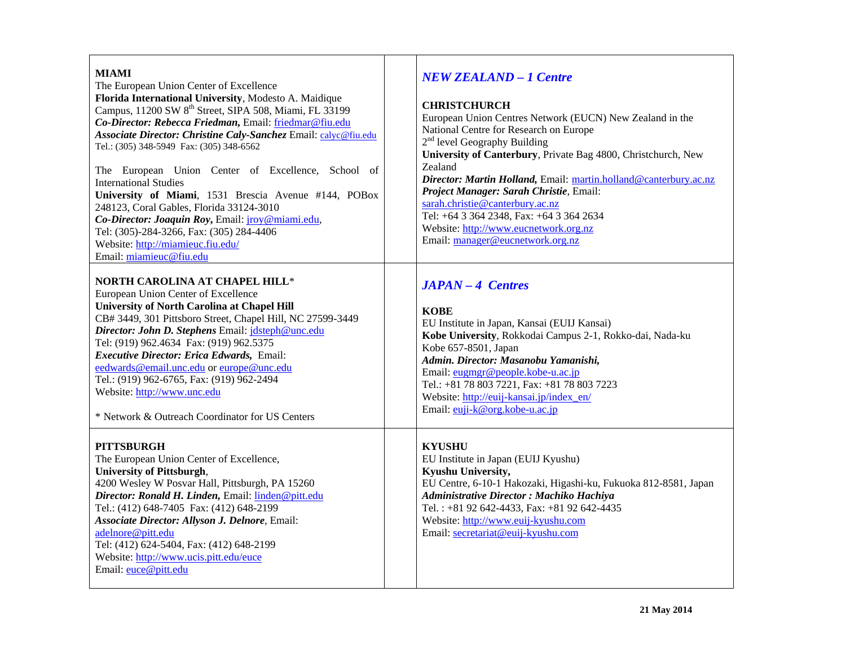| <b>MIAMI</b><br>The European Union Center of Excellence<br>Florida International University, Modesto A. Maidique<br>Campus, 11200 SW 8 <sup>th</sup> Street, SIPA 508, Miami, FL 33199<br>Co-Director: Rebecca Friedman, Email: friedmar@fiu.edu<br>Associate Director: Christine Caly-Sanchez Email: calyc@fiu.edu<br>Tel.: (305) 348-5949 Fax: (305) 348-6562<br>The European Union Center of Excellence, School of<br><b>International Studies</b><br>University of Miami, 1531 Brescia Avenue #144, POBox<br>248123, Coral Gables, Florida 33124-3010<br>Co-Director: Joaquin Roy, Email: jroy@miami.edu,<br>Tel: (305)-284-3266, Fax: (305) 284-4406<br>Website: http://miamieuc.fiu.edu/<br>Email: miamieuc@fiu.edu | <b>NEW ZEALAND - 1 Centre</b><br><b>CHRISTCHURCH</b><br>European Union Centres Network (EUCN) New Zealand in the<br>National Centre for Research on Europe<br>$2nd$ level Geography Building<br>University of Canterbury, Private Bag 4800, Christchurch, New<br>Zealand<br>Director: Martin Holland, Email: martin.holland@canterbury.ac.nz<br>Project Manager: Sarah Christie, Email:<br>sarah.christie@canterbury.ac.nz<br>Tel: +64 3 364 2348, Fax: +64 3 364 2634<br>Website: http://www.eucnetwork.org.nz<br>Email: manager@eucnetwork.org.nz |
|---------------------------------------------------------------------------------------------------------------------------------------------------------------------------------------------------------------------------------------------------------------------------------------------------------------------------------------------------------------------------------------------------------------------------------------------------------------------------------------------------------------------------------------------------------------------------------------------------------------------------------------------------------------------------------------------------------------------------|-----------------------------------------------------------------------------------------------------------------------------------------------------------------------------------------------------------------------------------------------------------------------------------------------------------------------------------------------------------------------------------------------------------------------------------------------------------------------------------------------------------------------------------------------------|
| NORTH CAROLINA AT CHAPEL HILL*<br>European Union Center of Excellence<br><b>University of North Carolina at Chapel Hill</b><br>CB# 3449, 301 Pittsboro Street, Chapel Hill, NC 27599-3449<br>Director: John D. Stephens Email: <i>jdsteph@unc.edu</i><br>Tel: (919) 962.4634 Fax: (919) 962.5375<br><b>Executive Director: Erica Edwards, Email:</b><br>eedwards@email.unc.edu or europe@unc.edu<br>Tel.: (919) 962-6765, Fax: (919) 962-2494<br>Website: http://www.unc.edu<br>* Network & Outreach Coordinator for US Centers                                                                                                                                                                                           | $JAPAN - 4$ Centres<br><b>KOBE</b><br>EU Institute in Japan, Kansai (EUIJ Kansai)<br>Kobe University, Rokkodai Campus 2-1, Rokko-dai, Nada-ku<br>Kobe 657-8501, Japan<br>Admin. Director: Masanobu Yamanishi,<br>Email: eugmgr@people.kobe-u.ac.jp<br>Tel.: +81 78 803 7221, Fax: +81 78 803 7223<br>Website: http://euij-kansai.jp/index_en/<br>Email: euji-k@org.kobe-u.ac.jp                                                                                                                                                                     |
| <b>PITTSBURGH</b><br>The European Union Center of Excellence,<br><b>University of Pittsburgh,</b><br>4200 Wesley W Posvar Hall, Pittsburgh, PA 15260<br>Director: Ronald H. Linden, Email: linden@pitt.edu<br>Tel.: (412) 648-7405 Fax: (412) 648-2199<br>Associate Director: Allyson J. Delnore, Email:<br>adelnore@pitt.edu<br>Tel: (412) 624-5404, Fax: (412) 648-2199<br>Website: http://www.ucis.pitt.edu/euce<br>Email: euce@pitt.edu                                                                                                                                                                                                                                                                               | <b>KYUSHU</b><br>EU Institute in Japan (EUIJ Kyushu)<br>Kyushu University,<br>EU Centre, 6-10-1 Hakozaki, Higashi-ku, Fukuoka 812-8581, Japan<br>Administrative Director: Machiko Hachiya<br>Tel.: +81 92 642-4433, Fax: +81 92 642-4435<br>Website: http://www.euij-kyushu.com<br>Email: secretariat@euij-kyushu.com                                                                                                                                                                                                                               |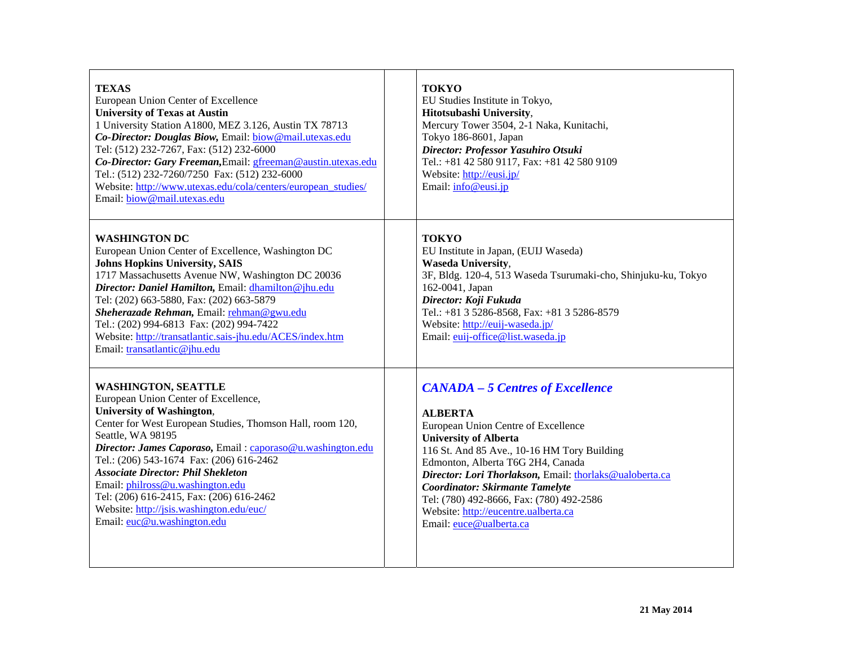| <b>TEXAS</b><br>European Union Center of Excellence<br><b>University of Texas at Austin</b><br>1 University Station A1800, MEZ 3.126, Austin TX 78713<br>Co-Director: Douglas Biow, Email: biow@mail.utexas.edu<br>Tel: (512) 232-7267, Fax: (512) 232-6000<br>Co-Director: Gary Freeman, Email: gfreeman@austin.utexas.edu<br>Tel.: (512) 232-7260/7250 Fax: (512) 232-6000<br>Website: http://www.utexas.edu/cola/centers/european_studies/<br>Email: biow@mail.utexas.edu                               | <b>TOKYO</b><br>EU Studies Institute in Tokyo,<br>Hitotsubashi University,<br>Mercury Tower 3504, 2-1 Naka, Kunitachi,<br>Tokyo 186-8601, Japan<br>Director: Professor Yasuhiro Otsuki<br>Tel.: +81 42 580 9117, Fax: +81 42 580 9109<br>Website: http://eusi.jp/<br>Email: info@eusi.jp                                                                                                                                                 |
|------------------------------------------------------------------------------------------------------------------------------------------------------------------------------------------------------------------------------------------------------------------------------------------------------------------------------------------------------------------------------------------------------------------------------------------------------------------------------------------------------------|------------------------------------------------------------------------------------------------------------------------------------------------------------------------------------------------------------------------------------------------------------------------------------------------------------------------------------------------------------------------------------------------------------------------------------------|
| <b>WASHINGTON DC</b><br>European Union Center of Excellence, Washington DC<br><b>Johns Hopkins University, SAIS</b><br>1717 Massachusetts Avenue NW, Washington DC 20036<br>Director: Daniel Hamilton, Email: dhamilton@jhu.edu<br>Tel: (202) 663-5880, Fax: (202) 663-5879<br>Sheherazade Rehman, Email: rehman@gwu.edu<br>Tel.: (202) 994-6813 Fax: (202) 994-7422<br>Website: http://transatlantic.sais-jhu.edu/ACES/index.htm<br>Email: transatlantic@jhu.edu                                          | <b>TOKYO</b><br>EU Institute in Japan, (EUIJ Waseda)<br><b>Waseda University,</b><br>3F, Bldg. 120-4, 513 Waseda Tsurumaki-cho, Shinjuku-ku, Tokyo<br>162-0041, Japan<br>Director: Koji Fukuda<br>Tel.: +81 3 5286-8568, Fax: +81 3 5286-8579<br>Website: http://euij-waseda.jp/<br>Email: euij-office@list.waseda.jp                                                                                                                    |
| <b>WASHINGTON, SEATTLE</b><br>European Union Center of Excellence,<br><b>University of Washington,</b><br>Center for West European Studies, Thomson Hall, room 120,<br>Seattle, WA 98195<br>Director: James Caporaso, Email: caporaso@u.washington.edu<br>Tel.: (206) 543-1674 Fax: (206) 616-2462<br><b>Associate Director: Phil Shekleton</b><br>Email: philross@u.washington.edu<br>Tel: (206) 616-2415, Fax: (206) 616-2462<br>Website: http://jsis.washington.edu/euc/<br>Email: euc@u.washington.edu | <b>CANADA - 5 Centres of Excellence</b><br><b>ALBERTA</b><br>European Union Centre of Excellence<br><b>University of Alberta</b><br>116 St. And 85 Ave., 10-16 HM Tory Building<br>Edmonton, Alberta T6G 2H4, Canada<br>Director: Lori Thorlakson, Email: thorlaks@ualoberta.ca<br><b>Coordinator: Skirmante Tamelyte</b><br>Tel: (780) 492-8666, Fax: (780) 492-2586<br>Website: http://eucentre.ualberta.ca<br>Email: euce@ualberta.ca |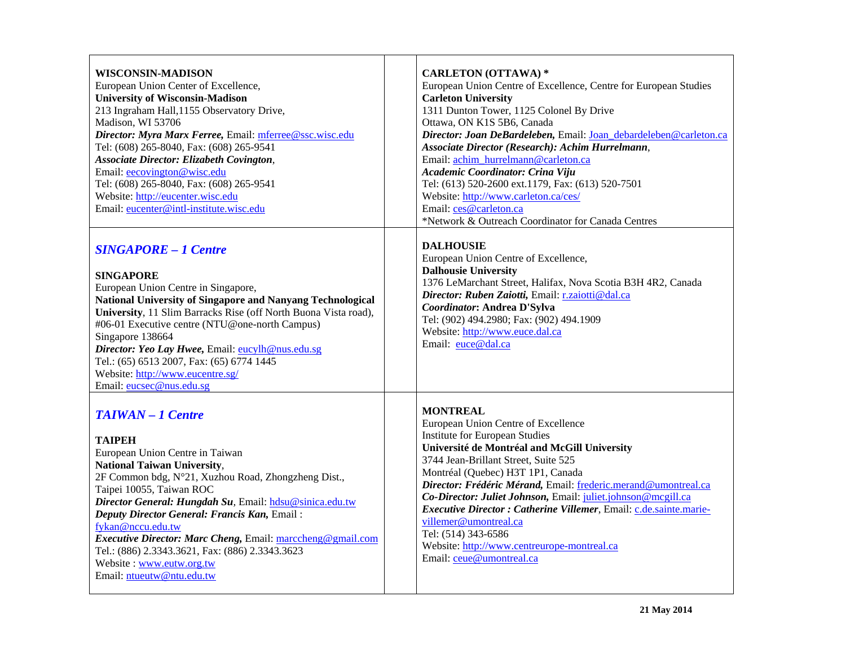| <b>WISCONSIN-MADISON</b>                                                                                                                                                                                                                                                                                                                                                                                                                                       | <b>CARLETON (OTTAWA)*</b>                                                                                                                                                                                                                                                                                                                       |
|----------------------------------------------------------------------------------------------------------------------------------------------------------------------------------------------------------------------------------------------------------------------------------------------------------------------------------------------------------------------------------------------------------------------------------------------------------------|-------------------------------------------------------------------------------------------------------------------------------------------------------------------------------------------------------------------------------------------------------------------------------------------------------------------------------------------------|
| European Union Center of Excellence,                                                                                                                                                                                                                                                                                                                                                                                                                           | European Union Centre of Excellence, Centre for European Studies                                                                                                                                                                                                                                                                                |
| <b>University of Wisconsin-Madison</b>                                                                                                                                                                                                                                                                                                                                                                                                                         | <b>Carleton University</b>                                                                                                                                                                                                                                                                                                                      |
| 213 Ingraham Hall, 1155 Observatory Drive,                                                                                                                                                                                                                                                                                                                                                                                                                     | 1311 Dunton Tower, 1125 Colonel By Drive                                                                                                                                                                                                                                                                                                        |
| Madison, WI 53706                                                                                                                                                                                                                                                                                                                                                                                                                                              | Ottawa, ON K1S 5B6, Canada                                                                                                                                                                                                                                                                                                                      |
| Director: Myra Marx Ferree, Email: mferree@ssc.wisc.edu                                                                                                                                                                                                                                                                                                                                                                                                        | Director: Joan DeBardeleben, Email: Joan debardeleben@carleton.ca                                                                                                                                                                                                                                                                               |
| Tel: (608) 265-8040, Fax: (608) 265-9541                                                                                                                                                                                                                                                                                                                                                                                                                       | Associate Director (Research): Achim Hurrelmann,                                                                                                                                                                                                                                                                                                |
| <b>Associate Director: Elizabeth Covington,</b>                                                                                                                                                                                                                                                                                                                                                                                                                | Email: achim_hurrelmann@carleton.ca                                                                                                                                                                                                                                                                                                             |
| Email: eecovington@wisc.edu<br>Tel: (608) 265-8040, Fax: (608) 265-9541<br>Website: http://eucenter.wisc.edu<br>Email: eucenter@intl-institute.wisc.edu                                                                                                                                                                                                                                                                                                        | Academic Coordinator: Crina Viju<br>Tel: (613) 520-2600 ext.1179, Fax: (613) 520-7501<br>Website: http://www.carleton.ca/ces/<br>Email: ces@carleton.ca<br>*Network & Outreach Coordinator for Canada Centres                                                                                                                                   |
| <b>SINGAPORE - 1 Centre</b><br><b>SINGAPORE</b><br>European Union Centre in Singapore,<br>National University of Singapore and Nanyang Technological<br>University, 11 Slim Barracks Rise (off North Buona Vista road),<br>#06-01 Executive centre (NTU@one-north Campus)<br>Singapore 138664<br>Director: Yeo Lay Hwee, Email: eucylh@nus.edu.sg<br>Tel.: (65) 6513 2007, Fax: (65) 6774 1445<br>Website: http://www.eucentre.sg/<br>Email: eucsec@nus.edu.sg | <b>DALHOUSIE</b><br>European Union Centre of Excellence,<br><b>Dalhousie University</b><br>1376 LeMarchant Street, Halifax, Nova Scotia B3H 4R2, Canada<br>Director: Ruben Zaiotti, Email: r.zaiotti@dal.ca<br>Coordinator: Andrea D'Sylva<br>Tel: (902) 494.2980; Fax: (902) 494.1909<br>Website: http://www.euce.dal.ca<br>Email: euce@dal.ca |
| <b>TAIWAN - 1 Centre</b>                                                                                                                                                                                                                                                                                                                                                                                                                                       | <b>MONTREAL</b>                                                                                                                                                                                                                                                                                                                                 |
| <b>TAIPEH</b>                                                                                                                                                                                                                                                                                                                                                                                                                                                  | European Union Centre of Excellence                                                                                                                                                                                                                                                                                                             |
| European Union Centre in Taiwan                                                                                                                                                                                                                                                                                                                                                                                                                                | <b>Institute for European Studies</b>                                                                                                                                                                                                                                                                                                           |
| <b>National Taiwan University,</b>                                                                                                                                                                                                                                                                                                                                                                                                                             | Université de Montréal and McGill University                                                                                                                                                                                                                                                                                                    |
| 2F Common bdg, N°21, Xuzhou Road, Zhongzheng Dist.,                                                                                                                                                                                                                                                                                                                                                                                                            | 3744 Jean-Brillant Street, Suite 525                                                                                                                                                                                                                                                                                                            |
| Taipei 10055, Taiwan ROC                                                                                                                                                                                                                                                                                                                                                                                                                                       | Montréal (Quebec) H3T 1P1, Canada                                                                                                                                                                                                                                                                                                               |
| Director General: Hungdah Su, Email: hdsu@sinica.edu.tw                                                                                                                                                                                                                                                                                                                                                                                                        | Director: Frédéric Mérand, Email: frederic.merand@umontreal.ca                                                                                                                                                                                                                                                                                  |
| Deputy Director General: Francis Kan, Email:                                                                                                                                                                                                                                                                                                                                                                                                                   | Co-Director: Juliet Johnson, Email: juliet.johnson@mcgill.ca                                                                                                                                                                                                                                                                                    |
| fykan@nccu.edu.tw                                                                                                                                                                                                                                                                                                                                                                                                                                              | Executive Director: Catherine Villemer, Email: c.de.sainte.marie-                                                                                                                                                                                                                                                                               |
| <b>Executive Director: Marc Cheng, Email: marcheng@gmail.com</b>                                                                                                                                                                                                                                                                                                                                                                                               | villemer@umontreal.ca                                                                                                                                                                                                                                                                                                                           |
| Tel.: (886) 2.3343.3621, Fax: (886) 2.3343.3623                                                                                                                                                                                                                                                                                                                                                                                                                | Tel: (514) 343-6586                                                                                                                                                                                                                                                                                                                             |
| Website: www.eutw.org.tw                                                                                                                                                                                                                                                                                                                                                                                                                                       | Website: http://www.centreurope-montreal.ca                                                                                                                                                                                                                                                                                                     |
| Email: ntueutw@ntu.edu.tw                                                                                                                                                                                                                                                                                                                                                                                                                                      | Email: ceue@umontreal.ca                                                                                                                                                                                                                                                                                                                        |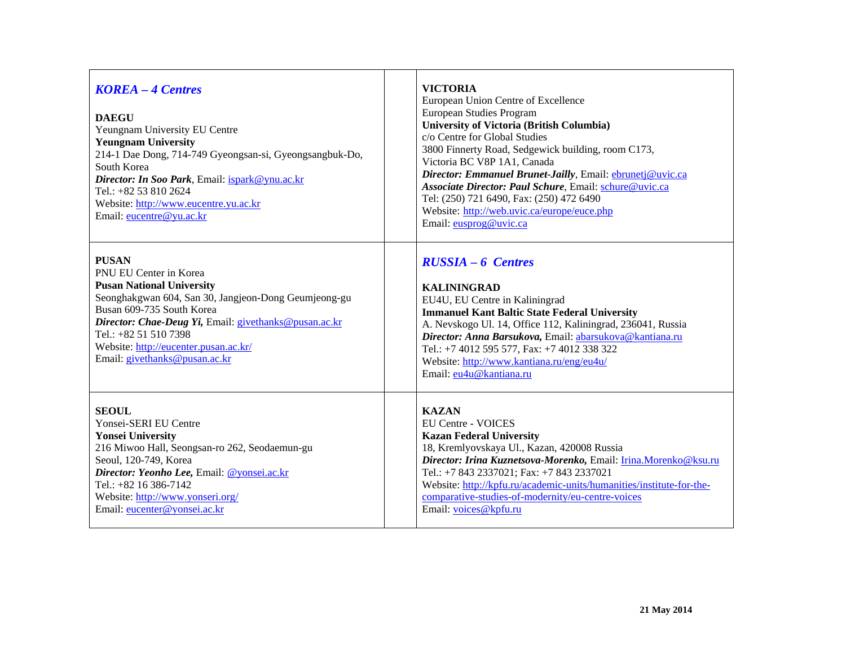| <b>KOREA - 4 Centres</b><br><b>DAEGU</b><br>Yeungnam University EU Centre<br><b>Yeungnam University</b><br>214-1 Dae Dong, 714-749 Gyeongsan-si, Gyeongsangbuk-Do,<br>South Korea<br>Director: In Soo Park, Email: ispark@ynu.ac.kr<br>Tel.: +82 53 810 2624<br>Website: http://www.eucentre.yu.ac.kr<br>Email: eucentre@yu.ac.kr | <b>VICTORIA</b><br>European Union Centre of Excellence<br>European Studies Program<br><b>University of Victoria (British Columbia)</b><br>c/o Centre for Global Studies<br>3800 Finnerty Road, Sedgewick building, room C173,<br>Victoria BC V8P 1A1, Canada<br>Director: Emmanuel Brunet-Jailly, Email: ebrunetj@uvic.ca<br>Associate Director: Paul Schure, Email: schure@uvic.ca<br>Tel: (250) 721 6490, Fax: (250) 472 6490<br>Website: http://web.uvic.ca/europe/euce.php<br>Email: eusprog@uvic.ca |
|-----------------------------------------------------------------------------------------------------------------------------------------------------------------------------------------------------------------------------------------------------------------------------------------------------------------------------------|----------------------------------------------------------------------------------------------------------------------------------------------------------------------------------------------------------------------------------------------------------------------------------------------------------------------------------------------------------------------------------------------------------------------------------------------------------------------------------------------------------|
| <b>PUSAN</b>                                                                                                                                                                                                                                                                                                                      | <b>RUSSIA – 6 Centres</b>                                                                                                                                                                                                                                                                                                                                                                                                                                                                                |
| PNU EU Center in Korea                                                                                                                                                                                                                                                                                                            | <b>KALININGRAD</b>                                                                                                                                                                                                                                                                                                                                                                                                                                                                                       |
| <b>Pusan National University</b>                                                                                                                                                                                                                                                                                                  | EU4U, EU Centre in Kaliningrad                                                                                                                                                                                                                                                                                                                                                                                                                                                                           |
| Seonghakgwan 604, San 30, Jangjeon-Dong Geumjeong-gu                                                                                                                                                                                                                                                                              | <b>Immanuel Kant Baltic State Federal University</b>                                                                                                                                                                                                                                                                                                                                                                                                                                                     |
| Busan 609-735 South Korea                                                                                                                                                                                                                                                                                                         | A. Nevskogo Ul. 14, Office 112, Kaliningrad, 236041, Russia                                                                                                                                                                                                                                                                                                                                                                                                                                              |
| Director: Chae-Deug Yi, Email: givethanks@pusan.ac.kr                                                                                                                                                                                                                                                                             | Director: Anna Barsukova, Email: abarsukova@kantiana.ru                                                                                                                                                                                                                                                                                                                                                                                                                                                  |
| Tel.: +82 51 510 7398                                                                                                                                                                                                                                                                                                             | Tel.: +7 4012 595 577, Fax: +7 4012 338 322                                                                                                                                                                                                                                                                                                                                                                                                                                                              |
| Website: http://eucenter.pusan.ac.kr/                                                                                                                                                                                                                                                                                             | Website: http://www.kantiana.ru/eng/eu4u/                                                                                                                                                                                                                                                                                                                                                                                                                                                                |
| Email: givethanks@pusan.ac.kr                                                                                                                                                                                                                                                                                                     | Email: eu4u@kantiana.ru                                                                                                                                                                                                                                                                                                                                                                                                                                                                                  |
| <b>SEOUL</b>                                                                                                                                                                                                                                                                                                                      | <b>KAZAN</b>                                                                                                                                                                                                                                                                                                                                                                                                                                                                                             |
| Yonsei-SERI EU Centre                                                                                                                                                                                                                                                                                                             | EU Centre - VOICES                                                                                                                                                                                                                                                                                                                                                                                                                                                                                       |
| <b>Yonsei University</b>                                                                                                                                                                                                                                                                                                          | <b>Kazan Federal University</b>                                                                                                                                                                                                                                                                                                                                                                                                                                                                          |
| 216 Miwoo Hall, Seongsan-ro 262, Seodaemun-gu                                                                                                                                                                                                                                                                                     | 18, Kremlyovskaya Ul., Kazan, 420008 Russia                                                                                                                                                                                                                                                                                                                                                                                                                                                              |
| Seoul, 120-749, Korea                                                                                                                                                                                                                                                                                                             | Director: Irina Kuznetsova-Morenko, Email: Irina.Morenko@ksu.ru                                                                                                                                                                                                                                                                                                                                                                                                                                          |
| Director: Yeonho Lee, Email: @yonsei.ac.kr                                                                                                                                                                                                                                                                                        | Tel.: +7 843 2337021; Fax: +7 843 2337021                                                                                                                                                                                                                                                                                                                                                                                                                                                                |
| Tel.: +82 16 386-7142                                                                                                                                                                                                                                                                                                             | Website: http://kpfu.ru/academic-units/humanities/institute-for-the-                                                                                                                                                                                                                                                                                                                                                                                                                                     |
| Website: http://www.yonseri.org/                                                                                                                                                                                                                                                                                                  | comparative-studies-of-modernity/eu-centre-voices                                                                                                                                                                                                                                                                                                                                                                                                                                                        |
| Email: eucenter@yonsei.ac.kr                                                                                                                                                                                                                                                                                                      | Email: voices@kpfu.ru                                                                                                                                                                                                                                                                                                                                                                                                                                                                                    |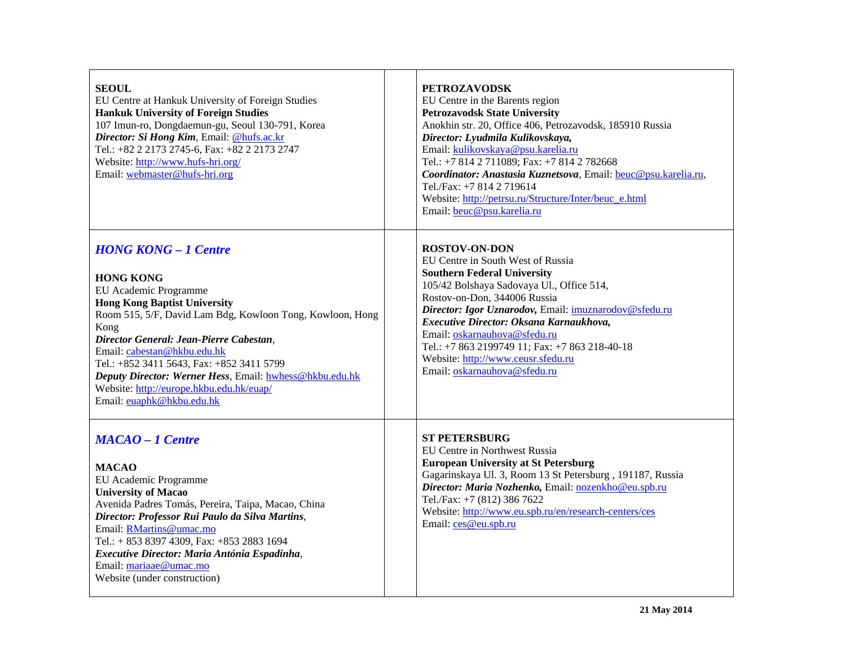| <b>SEOUL</b><br>EU Centre at Hankuk University of Foreign Studies<br><b>Hankuk University of Foreign Studies</b><br>107 Imun-ro, Dongdaemun-gu, Seoul 130-791, Korea<br>Director: Si Hong Kim, Email: @hufs.ac.kr<br>Tel.: +82 2 2173 2745-6, Fax: +82 2 2173 2747<br>Website: http://www.hufs-hri.org/<br>Email: webmaster@hufs-hri.org                                                                                                        | <b>PETROZAVODSK</b><br>EU Centre in the Barents region<br><b>Petrozavodsk State University</b><br>Anokhin str. 20, Office 406, Petrozavodsk, 185910 Russia<br>Director: Lyudmila Kulikovskaya,<br>Email: kulikovskaya@psu.karelia.ru<br>Tel.: +7 814 2 711089; Fax: +7 814 2 782668<br>Coordinator: Anastasia Kuznetsova, Email: beuc@psu.karelia.ru,<br>Tel./Fax: +7 814 2 719614<br>Website: http://petrsu.ru/Structure/Inter/beuc_e.html<br>Email: beuc@psu.karelia.ru |  |
|-------------------------------------------------------------------------------------------------------------------------------------------------------------------------------------------------------------------------------------------------------------------------------------------------------------------------------------------------------------------------------------------------------------------------------------------------|---------------------------------------------------------------------------------------------------------------------------------------------------------------------------------------------------------------------------------------------------------------------------------------------------------------------------------------------------------------------------------------------------------------------------------------------------------------------------|--|
| <b>HONG KONG - 1 Centre</b><br><b>HONG KONG</b><br>EU Academic Programme<br><b>Hong Kong Baptist University</b><br>Room 515, 5/F, David Lam Bdg, Kowloon Tong, Kowloon, Hong<br>Kong<br>Director General: Jean-Pierre Cabestan,<br>Email: cabestan@hkbu.edu.hk<br>Tel.: +852 3411 5643, Fax: +852 3411 5799<br>Deputy Director: Werner Hess, Email: hwhess@hkbu.edu.hk<br>Website: http://europe.hkbu.edu.hk/euap/<br>Email: euaphk@hkbu.edu.hk | <b>ROSTOV-ON-DON</b><br>EU Centre in South West of Russia<br><b>Southern Federal University</b><br>105/42 Bolshaya Sadovaya Ul., Office 514,<br>Rostov-on-Don, 344006 Russia<br>Director: Igor Uznarodov, Email: imuznarodov@sfedu.ru<br>Executive Director: Oksana Karnaukhova,<br>Email: oskarnauhova@sfedu.ru<br>Tel.: +7 863 2199749 11; Fax: +7 863 218-40-18<br>Website: http://www.ceusr.sfedu.ru<br>Email: oskarnauhova@sfedu.ru                                  |  |
| <b>MACAO - 1 Centre</b><br><b>MACAO</b><br>EU Academic Programme<br><b>University of Macao</b><br>Avenida Padres Tomás, Pereira, Taipa, Macao, China<br>Director: Professor Rui Paulo da Silva Martins,<br>Email: RMartins@umac.mo<br>Tel.: + 853 8397 4309, Fax: +853 2883 1694<br>Executive Director: Maria Antónia Espadinha,<br>Email: mariaae@umac.mo<br>Website (under construction)                                                      | <b>ST PETERSBURG</b><br>EU Centre in Northwest Russia<br><b>European University at St Petersburg</b><br>Gagarinskaya Ul. 3, Room 13 St Petersburg, 191187, Russia<br>Director: Maria Nozhenko, Email: nozenkho@eu.spb.ru<br>Tel./Fax: +7 (812) 386 7622<br>Website: http://www.eu.spb.ru/en/research-centers/ces<br>Email: ces@eu.spb.ru                                                                                                                                  |  |